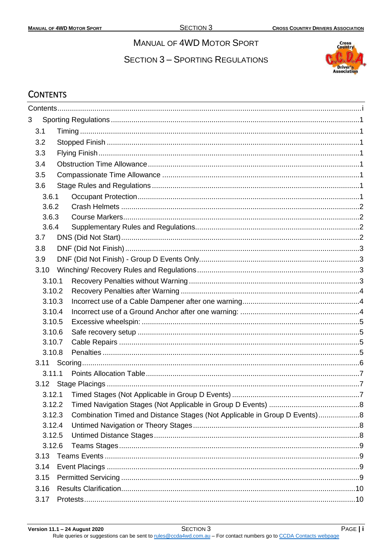# **MANUAL OF 4WD MOTOR SPORT**

**SECTION 3 - SPORTING REGULATIONS** 



## <span id="page-0-0"></span>**CONTENTS**

| 3    |        |                                                                           |  |  |  |  |  |
|------|--------|---------------------------------------------------------------------------|--|--|--|--|--|
| 3.1  |        |                                                                           |  |  |  |  |  |
| 3.2  |        |                                                                           |  |  |  |  |  |
| 3.3  |        |                                                                           |  |  |  |  |  |
| 3.4  |        |                                                                           |  |  |  |  |  |
| 3.5  |        |                                                                           |  |  |  |  |  |
| 3.6  |        |                                                                           |  |  |  |  |  |
|      | 3.6.1  |                                                                           |  |  |  |  |  |
|      | 3.6.2  |                                                                           |  |  |  |  |  |
|      | 3.6.3  |                                                                           |  |  |  |  |  |
|      | 3.6.4  |                                                                           |  |  |  |  |  |
| 3.7  |        |                                                                           |  |  |  |  |  |
| 3.8  |        |                                                                           |  |  |  |  |  |
| 3.9  |        |                                                                           |  |  |  |  |  |
| 3.10 |        |                                                                           |  |  |  |  |  |
|      | 3.10.1 |                                                                           |  |  |  |  |  |
|      | 3.10.2 |                                                                           |  |  |  |  |  |
|      | 3.10.3 |                                                                           |  |  |  |  |  |
|      | 3.10.4 |                                                                           |  |  |  |  |  |
|      | 3.10.5 |                                                                           |  |  |  |  |  |
|      | 3.10.6 |                                                                           |  |  |  |  |  |
|      | 3.10.7 |                                                                           |  |  |  |  |  |
|      | 3.10.8 |                                                                           |  |  |  |  |  |
|      |        |                                                                           |  |  |  |  |  |
|      | 3.11.1 |                                                                           |  |  |  |  |  |
|      |        |                                                                           |  |  |  |  |  |
|      |        |                                                                           |  |  |  |  |  |
|      | 3.12.2 |                                                                           |  |  |  |  |  |
|      | 3.12.3 | Combination Timed and Distance Stages (Not Applicable in Group D Events)8 |  |  |  |  |  |
|      | 3.12.4 |                                                                           |  |  |  |  |  |
|      | 3.12.5 |                                                                           |  |  |  |  |  |
|      | 3.12.6 |                                                                           |  |  |  |  |  |
| 3.13 |        |                                                                           |  |  |  |  |  |
| 3.14 |        |                                                                           |  |  |  |  |  |
| 3.15 |        |                                                                           |  |  |  |  |  |
| 3.16 |        |                                                                           |  |  |  |  |  |
| 3.17 |        |                                                                           |  |  |  |  |  |

Rule queries or suggestions can be sent to rules@ccda4wd.com.au - For contact numbers go to CCDA Contacts webpage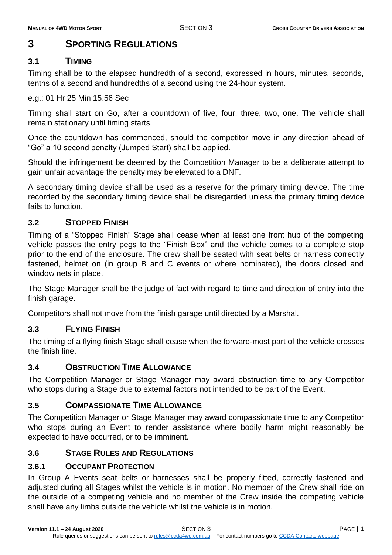# <span id="page-1-0"></span>**3 SPORTING REGULATIONS**

## <span id="page-1-1"></span>**3.1 TIMING**

Timing shall be to the elapsed hundredth of a second, expressed in hours, minutes, seconds, tenths of a second and hundredths of a second using the 24-hour system.

### e.g.: 01 Hr 25 Min 15.56 Sec

Timing shall start on Go, after a countdown of five, four, three, two, one. The vehicle shall remain stationary until timing starts.

Once the countdown has commenced, should the competitor move in any direction ahead of "Go" a 10 second penalty (Jumped Start) shall be applied.

Should the infringement be deemed by the Competition Manager to be a deliberate attempt to gain unfair advantage the penalty may be elevated to a DNF.

A secondary timing device shall be used as a reserve for the primary timing device. The time recorded by the secondary timing device shall be disregarded unless the primary timing device fails to function.

## <span id="page-1-2"></span>**3.2 STOPPED FINISH**

Timing of a "Stopped Finish" Stage shall cease when at least one front hub of the competing vehicle passes the entry pegs to the "Finish Box" and the vehicle comes to a complete stop prior to the end of the enclosure. The crew shall be seated with seat belts or harness correctly fastened, helmet on (in group B and C events or where nominated), the doors closed and window nets in place.

The Stage Manager shall be the judge of fact with regard to time and direction of entry into the finish garage.

Competitors shall not move from the finish garage until directed by a Marshal.

## <span id="page-1-3"></span>**3.3 FLYING FINISH**

The timing of a flying finish Stage shall cease when the forward-most part of the vehicle crosses the finish line.

## <span id="page-1-4"></span>**3.4 OBSTRUCTION TIME ALLOWANCE**

The Competition Manager or Stage Manager may award obstruction time to any Competitor who stops during a Stage due to external factors not intended to be part of the Event.

## <span id="page-1-5"></span>**3.5 COMPASSIONATE TIME ALLOWANCE**

The Competition Manager or Stage Manager may award compassionate time to any Competitor who stops during an Event to render assistance where bodily harm might reasonably be expected to have occurred, or to be imminent.

## <span id="page-1-6"></span>**3.6 STAGE RULES AND REGULATIONS**

## <span id="page-1-7"></span>**3.6.1 OCCUPANT PROTECTION**

In Group A Events seat belts or harnesses shall be properly fitted, correctly fastened and adjusted during all Stages whilst the vehicle is in motion. No member of the Crew shall ride on the outside of a competing vehicle and no member of the Crew inside the competing vehicle shall have any limbs outside the vehicle whilst the vehicle is in motion.

**Version 11.1 – 24 August 2020** SECTION 3 PAGE **| 1**

Rule queries or suggestions can be sent to [rules@ccda4wd.com.au](mailto:rules@ccda4wd.com.au) - For contact numbers go t[o CCDA Contacts webpage](https://ccda15.wildapricot.org/page-1362463)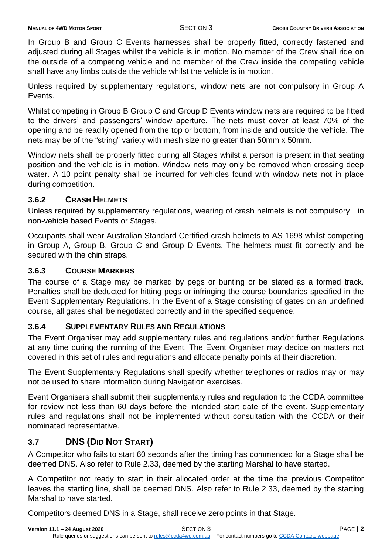In Group B and Group C Events harnesses shall be properly fitted, correctly fastened and adjusted during all Stages whilst the vehicle is in motion. No member of the Crew shall ride on the outside of a competing vehicle and no member of the Crew inside the competing vehicle shall have any limbs outside the vehicle whilst the vehicle is in motion.

Unless required by supplementary regulations, window nets are not compulsory in Group A Events.

Whilst competing in Group B Group C and Group D Events window nets are required to be fitted to the drivers' and passengers' window aperture. The nets must cover at least 70% of the opening and be readily opened from the top or bottom, from inside and outside the vehicle. The nets may be of the "string" variety with mesh size no greater than 50mm x 50mm.

Window nets shall be properly fitted during all Stages whilst a person is present in that seating position and the vehicle is in motion. Window nets may only be removed when crossing deep water. A 10 point penalty shall be incurred for vehicles found with window nets not in place during competition.

## <span id="page-2-0"></span>**3.6.2 CRASH HELMETS**

Unless required by supplementary regulations, wearing of crash helmets is not compulsory in non-vehicle based Events or Stages.

Occupants shall wear Australian Standard Certified crash helmets to AS 1698 whilst competing in Group A, Group B, Group C and Group D Events. The helmets must fit correctly and be secured with the chin straps.

### <span id="page-2-1"></span>**3.6.3 COURSE MARKERS**

The course of a Stage may be marked by pegs or bunting or be stated as a formed track. Penalties shall be deducted for hitting pegs or infringing the course boundaries specified in the Event Supplementary Regulations. In the Event of a Stage consisting of gates on an undefined course, all gates shall be negotiated correctly and in the specified sequence.

## <span id="page-2-2"></span>**3.6.4 SUPPLEMENTARY RULES AND REGULATIONS**

The Event Organiser may add supplementary rules and regulations and/or further Regulations at any time during the running of the Event. The Event Organiser may decide on matters not covered in this set of rules and regulations and allocate penalty points at their discretion.

The Event Supplementary Regulations shall specify whether telephones or radios may or may not be used to share information during Navigation exercises.

Event Organisers shall submit their supplementary rules and regulation to the CCDA committee for review not less than 60 days before the intended start date of the event. Supplementary rules and regulations shall not be implemented without consultation with the CCDA or their nominated representative.

## <span id="page-2-3"></span>**3.7 DNS (DID NOT START)**

A Competitor who fails to start 60 seconds after the timing has commenced for a Stage shall be deemed DNS. Also refer to Rule 2.33, deemed by the starting Marshal to have started.

A Competitor not ready to start in their allocated order at the time the previous Competitor leaves the starting line, shall be deemed DNS. Also refer to Rule 2.33, deemed by the starting Marshal to have started.

Competitors deemed DNS in a Stage, shall receive zero points in that Stage.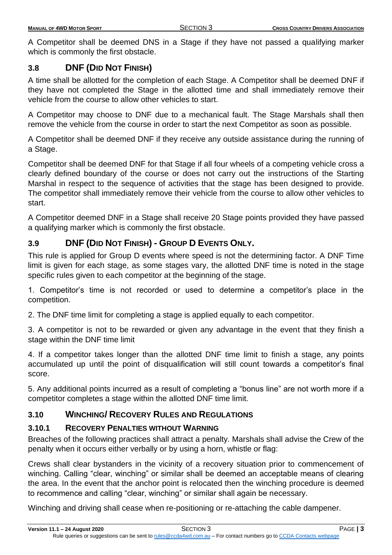A Competitor shall be deemed DNS in a Stage if they have not passed a qualifying marker which is commonly the first obstacle.

### <span id="page-3-0"></span>**3.8 DNF (DID NOT FINISH)**

A time shall be allotted for the completion of each Stage. A Competitor shall be deemed DNF if they have not completed the Stage in the allotted time and shall immediately remove their vehicle from the course to allow other vehicles to start.

A Competitor may choose to DNF due to a mechanical fault. The Stage Marshals shall then remove the vehicle from the course in order to start the next Competitor as soon as possible.

A Competitor shall be deemed DNF if they receive any outside assistance during the running of a Stage.

Competitor shall be deemed DNF for that Stage if all four wheels of a competing vehicle cross a clearly defined boundary of the course or does not carry out the instructions of the Starting Marshal in respect to the sequence of activities that the stage has been designed to provide. The competitor shall immediately remove their vehicle from the course to allow other vehicles to start.

A Competitor deemed DNF in a Stage shall receive 20 Stage points provided they have passed a qualifying marker which is commonly the first obstacle.

## <span id="page-3-1"></span>**3.9 DNF (DID NOT FINISH) - GROUP D EVENTS ONLY.**

This rule is applied for Group D events where speed is not the determining factor. A DNF Time limit is given for each stage, as some stages vary, the allotted DNF time is noted in the stage specific rules given to each competitor at the beginning of the stage.

1. Competitor's time is not recorded or used to determine a competitor's place in the competition.

2. The DNF time limit for completing a stage is applied equally to each competitor.

3. A competitor is not to be rewarded or given any advantage in the event that they finish a stage within the DNF time limit

4. If a competitor takes longer than the allotted DNF time limit to finish a stage, any points accumulated up until the point of disqualification will still count towards a competitor's final score.

5. Any additional points incurred as a result of completing a "bonus line" are not worth more if a competitor completes a stage within the allotted DNF time limit.

## <span id="page-3-2"></span>**3.10 WINCHING/ RECOVERY RULES AND REGULATIONS**

#### <span id="page-3-3"></span>**3.10.1 RECOVERY PENALTIES WITHOUT WARNING**

Breaches of the following practices shall attract a penalty. Marshals shall advise the Crew of the penalty when it occurs either verbally or by using a horn, whistle or flag:

Crews shall clear bystanders in the vicinity of a recovery situation prior to commencement of winching. Calling "clear, winching" or similar shall be deemed an acceptable means of clearing the area. In the event that the anchor point is relocated then the winching procedure is deemed to recommence and calling "clear, winching" or similar shall again be necessary.

Winching and driving shall cease when re-positioning or re-attaching the cable dampener.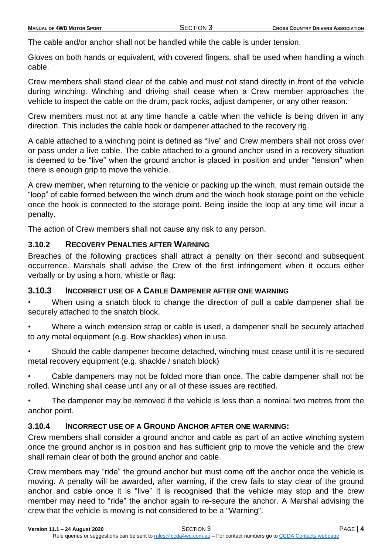The cable and/or anchor shall not be handled while the cable is under tension.

Gloves on both hands or equivalent, with covered fingers, shall be used when handling a winch cable.

Crew members shall stand clear of the cable and must not stand directly in front of the vehicle during winching. Winching and driving shall cease when a Crew member approaches the vehicle to inspect the cable on the drum, pack rocks, adjust dampener, or any other reason.

Crew members must not at any time handle a cable when the vehicle is being driven in any direction. This includes the cable hook or dampener attached to the recovery rig.

A cable attached to a winching point is defined as "live" and Crew members shall not cross over or pass under a live cable. The cable attached to a ground anchor used in a recovery situation is deemed to be "live" when the ground anchor is placed in position and under "tension" when there is enough grip to move the vehicle.

A crew member, when returning to the vehicle or packing up the winch, must remain outside the "loop" of cable formed between the winch drum and the winch hook storage point on the vehicle once the hook is connected to the storage point. Being inside the loop at any time will incur a penalty.

The action of Crew members shall not cause any risk to any person.

## <span id="page-4-0"></span>**3.10.2 RECOVERY PENALTIES AFTER WARNING**

Breaches of the following practices shall attract a penalty on their second and subsequent occurrence. Marshals shall advise the Crew of the first infringement when it occurs either verbally or by using a horn, whistle or flag:

## <span id="page-4-1"></span>**3.10.3 INCORRECT USE OF A CABLE DAMPENER AFTER ONE WARNING**

• When using a snatch block to change the direction of pull a cable dampener shall be securely attached to the snatch block.

Where a winch extension strap or cable is used, a dampener shall be securely attached to any metal equipment (e.g. Bow shackles) when in use.

Should the cable dampener become detached, winching must cease until it is re-secured metal recovery equipment (e.g. shackle / snatch block)

• Cable dampeners may not be folded more than once. The cable dampener shall not be rolled. Winching shall cease until any or all of these issues are rectified.

The dampener may be removed if the vehicle is less than a nominal two metres from the anchor point.

## <span id="page-4-2"></span>**3.10.4 INCORRECT USE OF A GROUND ANCHOR AFTER ONE WARNING:**

Crew members shall consider a ground anchor and cable as part of an active winching system once the ground anchor is in position and has sufficient grip to move the vehicle and the crew shall remain clear of both the ground anchor and cable.

Crew members may "ride" the ground anchor but must come off the anchor once the vehicle is moving. A penalty will be awarded, after warning, if the crew fails to stay clear of the ground anchor and cable once it is "live" It is recognised that the vehicle may stop and the crew member may need to "ride" the anchor again to re-secure the anchor. A Marshal advising the crew that the vehicle is moving is not considered to be a "Warning".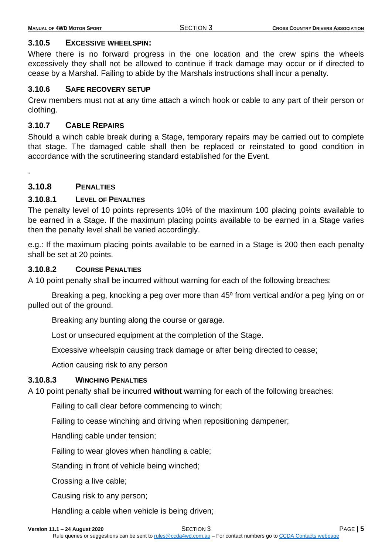#### <span id="page-5-0"></span>**3.10.5 EXCESSIVE WHEELSPIN:**

Where there is no forward progress in the one location and the crew spins the wheels excessively they shall not be allowed to continue if track damage may occur or if directed to cease by a Marshal. Failing to abide by the Marshals instructions shall incur a penalty.

#### <span id="page-5-1"></span>**3.10.6 SAFE RECOVERY SETUP**

Crew members must not at any time attach a winch hook or cable to any part of their person or clothing.

#### <span id="page-5-2"></span>**3.10.7 CABLE REPAIRS**

Should a winch cable break during a Stage, temporary repairs may be carried out to complete that stage. The damaged cable shall then be replaced or reinstated to good condition in accordance with the scrutineering standard established for the Event.

#### <span id="page-5-3"></span>**3.10.8 PENALTIES**

.

## **3.10.8.1 LEVEL OF PENALTIES**

The penalty level of 10 points represents 10% of the maximum 100 placing points available to be earned in a Stage. If the maximum placing points available to be earned in a Stage varies then the penalty level shall be varied accordingly.

e.g.: If the maximum placing points available to be earned in a Stage is 200 then each penalty shall be set at 20 points.

#### **3.10.8.2 COURSE PENALTIES**

A 10 point penalty shall be incurred without warning for each of the following breaches:

Breaking a peg, knocking a peg over more than 45º from vertical and/or a peg lying on or pulled out of the ground.

Breaking any bunting along the course or garage.

Lost or unsecured equipment at the completion of the Stage.

Excessive wheelspin causing track damage or after being directed to cease;

Action causing risk to any person

#### **3.10.8.3 WINCHING PENALTIES**

A 10 point penalty shall be incurred **without** warning for each of the following breaches:

Failing to call clear before commencing to winch;

Failing to cease winching and driving when repositioning dampener;

Handling cable under tension;

Failing to wear gloves when handling a cable;

Standing in front of vehicle being winched;

Crossing a live cable;

Causing risk to any person;

Handling a cable when vehicle is being driven;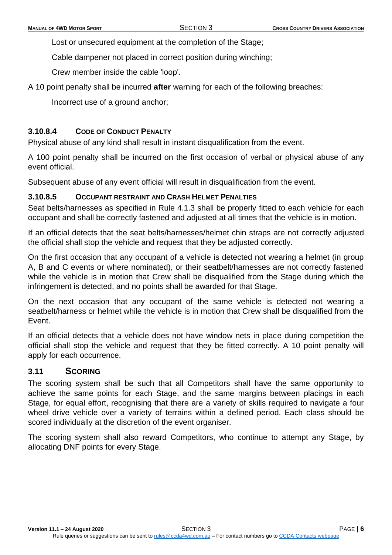Lost or unsecured equipment at the completion of the Stage;

Cable dampener not placed in correct position during winching;

Crew member inside the cable 'loop'.

A 10 point penalty shall be incurred **after** warning for each of the following breaches:

Incorrect use of a ground anchor;

## **3.10.8.4 CODE OF CONDUCT PENALTY**

Physical abuse of any kind shall result in instant disqualification from the event.

A 100 point penalty shall be incurred on the first occasion of verbal or physical abuse of any event official.

Subsequent abuse of any event official will result in disqualification from the event.

## **3.10.8.5 OCCUPANT RESTRAINT AND CRASH HELMET PENALTIES**

Seat belts/harnesses as specified in Rule 4.1.3 shall be properly fitted to each vehicle for each occupant and shall be correctly fastened and adjusted at all times that the vehicle is in motion.

If an official detects that the seat belts/harnesses/helmet chin straps are not correctly adjusted the official shall stop the vehicle and request that they be adjusted correctly.

On the first occasion that any occupant of a vehicle is detected not wearing a helmet (in group A, B and C events or where nominated), or their seatbelt/harnesses are not correctly fastened while the vehicle is in motion that Crew shall be disqualified from the Stage during which the infringement is detected, and no points shall be awarded for that Stage.

On the next occasion that any occupant of the same vehicle is detected not wearing a seatbelt/harness or helmet while the vehicle is in motion that Crew shall be disqualified from the Event.

If an official detects that a vehicle does not have window nets in place during competition the official shall stop the vehicle and request that they be fitted correctly. A 10 point penalty will apply for each occurrence.

## <span id="page-6-0"></span>**3.11 SCORING**

The scoring system shall be such that all Competitors shall have the same opportunity to achieve the same points for each Stage, and the same margins between placings in each Stage, for equal effort, recognising that there are a variety of skills required to navigate a four wheel drive vehicle over a variety of terrains within a defined period. Each class should be scored individually at the discretion of the event organiser.

The scoring system shall also reward Competitors, who continue to attempt any Stage, by allocating DNF points for every Stage.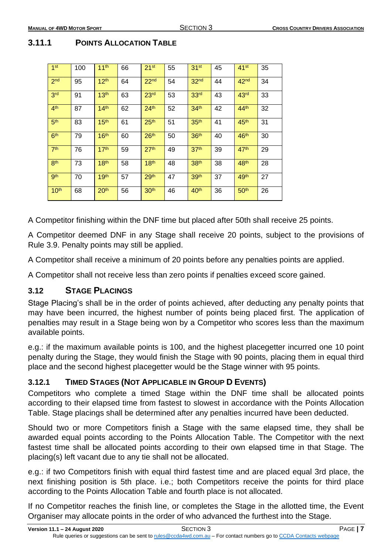## <span id="page-7-0"></span>**3.11.1 POINTS ALLOCATION TABLE**

| 1 <sup>st</sup>  | 100 | 11 <sup>th</sup> | 66 | 21 <sup>st</sup> | 55 | 31 <sup>st</sup> | 45 | $41$ <sup>st</sup> | 35 |
|------------------|-----|------------------|----|------------------|----|------------------|----|--------------------|----|
| 2 <sub>nd</sub>  | 95  | 12 <sup>th</sup> | 64 | 22 <sup>nd</sup> | 54 | 32 <sub>nd</sub> | 44 | 42 <sup>nd</sup>   | 34 |
| 3 <sup>rd</sup>  | 91  | 13 <sup>th</sup> | 63 | 23 <sup>rd</sup> | 53 | 33 <sup>rd</sup> | 43 | 43 <sup>rd</sup>   | 33 |
| 4 <sup>th</sup>  | 87  | 14 <sup>th</sup> | 62 | 24 <sup>th</sup> | 52 | 34 <sup>th</sup> | 42 | 44 <sup>th</sup>   | 32 |
| 5 <sup>th</sup>  | 83  | 15 <sup>th</sup> | 61 | 25 <sup>th</sup> | 51 | 35 <sup>th</sup> | 41 | 45 <sup>th</sup>   | 31 |
| 6 <sup>th</sup>  | 79  | 16 <sup>th</sup> | 60 | 26 <sup>th</sup> | 50 | 36 <sup>th</sup> | 40 | 46 <sup>th</sup>   | 30 |
| 7 <sup>th</sup>  | 76  | 17 <sup>th</sup> | 59 | 27 <sup>th</sup> | 49 | 37 <sup>th</sup> | 39 | 47 <sup>th</sup>   | 29 |
| 8 <sup>th</sup>  | 73  | 18 <sup>th</sup> | 58 | 18 <sup>th</sup> | 48 | 38 <sup>th</sup> | 38 | 48 <sup>th</sup>   | 28 |
| <b>gth</b>       | 70  | 19 <sup>th</sup> | 57 | 29 <sup>th</sup> | 47 | 39 <sup>th</sup> | 37 | 49 <sup>th</sup>   | 27 |
| 10 <sup>th</sup> | 68  | 20 <sup>th</sup> | 56 | 30 <sup>th</sup> | 46 | 40 <sup>th</sup> | 36 | 50 <sup>th</sup>   | 26 |

A Competitor finishing within the DNF time but placed after 50th shall receive 25 points.

A Competitor deemed DNF in any Stage shall receive 20 points, subject to the provisions of Rule 3.9. Penalty points may still be applied.

A Competitor shall receive a minimum of 20 points before any penalties points are applied.

A Competitor shall not receive less than zero points if penalties exceed score gained.

## <span id="page-7-1"></span>**3.12 STAGE PLACINGS**

Stage Placing's shall be in the order of points achieved, after deducting any penalty points that may have been incurred, the highest number of points being placed first. The application of penalties may result in a Stage being won by a Competitor who scores less than the maximum available points.

e.g.: if the maximum available points is 100, and the highest placegetter incurred one 10 point penalty during the Stage, they would finish the Stage with 90 points, placing them in equal third place and the second highest placegetter would be the Stage winner with 95 points.

## <span id="page-7-2"></span>**3.12.1 TIMED STAGES (NOT APPLICABLE IN GROUP D EVENTS)**

Competitors who complete a timed Stage within the DNF time shall be allocated points according to their elapsed time from fastest to slowest in accordance with the Points Allocation Table. Stage placings shall be determined after any penalties incurred have been deducted.

Should two or more Competitors finish a Stage with the same elapsed time, they shall be awarded equal points according to the Points Allocation Table. The Competitor with the next fastest time shall be allocated points according to their own elapsed time in that Stage. The placing(s) left vacant due to any tie shall not be allocated.

e.g.: if two Competitors finish with equal third fastest time and are placed equal 3rd place, the next finishing position is 5th place. i.e.; both Competitors receive the points for third place according to the Points Allocation Table and fourth place is not allocated.

If no Competitor reaches the finish line, or completes the Stage in the allotted time, the Event Organiser may allocate points in the order of who advanced the furthest into the Stage.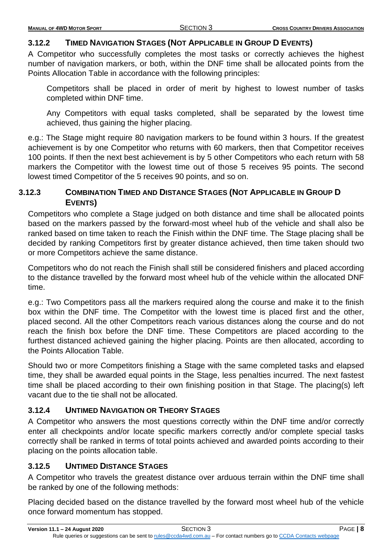## <span id="page-8-0"></span>**3.12.2 TIMED NAVIGATION STAGES (NOT APPLICABLE IN GROUP D EVENTS)**

A Competitor who successfully completes the most tasks or correctly achieves the highest number of navigation markers, or both, within the DNF time shall be allocated points from the Points Allocation Table in accordance with the following principles:

Competitors shall be placed in order of merit by highest to lowest number of tasks completed within DNF time.

Any Competitors with equal tasks completed, shall be separated by the lowest time achieved, thus gaining the higher placing.

e.g.: The Stage might require 80 navigation markers to be found within 3 hours. If the greatest achievement is by one Competitor who returns with 60 markers, then that Competitor receives 100 points. If then the next best achievement is by 5 other Competitors who each return with 58 markers the Competitor with the lowest time out of those 5 receives 95 points. The second lowest timed Competitor of the 5 receives 90 points, and so on.

## <span id="page-8-1"></span>**3.12.3 COMBINATION TIMED AND DISTANCE STAGES (NOT APPLICABLE IN GROUP D EVENTS)**

Competitors who complete a Stage judged on both distance and time shall be allocated points based on the markers passed by the forward-most wheel hub of the vehicle and shall also be ranked based on time taken to reach the Finish within the DNF time. The Stage placing shall be decided by ranking Competitors first by greater distance achieved, then time taken should two or more Competitors achieve the same distance.

Competitors who do not reach the Finish shall still be considered finishers and placed according to the distance travelled by the forward most wheel hub of the vehicle within the allocated DNF time.

e.g.: Two Competitors pass all the markers required along the course and make it to the finish box within the DNF time. The Competitor with the lowest time is placed first and the other, placed second. All the other Competitors reach various distances along the course and do not reach the finish box before the DNF time. These Competitors are placed according to the furthest distanced achieved gaining the higher placing. Points are then allocated, according to the Points Allocation Table.

Should two or more Competitors finishing a Stage with the same completed tasks and elapsed time, they shall be awarded equal points in the Stage, less penalties incurred. The next fastest time shall be placed according to their own finishing position in that Stage. The placing(s) left vacant due to the tie shall not be allocated.

## <span id="page-8-2"></span>**3.12.4 UNTIMED NAVIGATION OR THEORY STAGES**

A Competitor who answers the most questions correctly within the DNF time and/or correctly enter all checkpoints and/or locate specific markers correctly and/or complete special tasks correctly shall be ranked in terms of total points achieved and awarded points according to their placing on the points allocation table.

## <span id="page-8-3"></span>**3.12.5 UNTIMED DISTANCE STAGES**

A Competitor who travels the greatest distance over arduous terrain within the DNF time shall be ranked by one of the following methods:

Placing decided based on the distance travelled by the forward most wheel hub of the vehicle once forward momentum has stopped.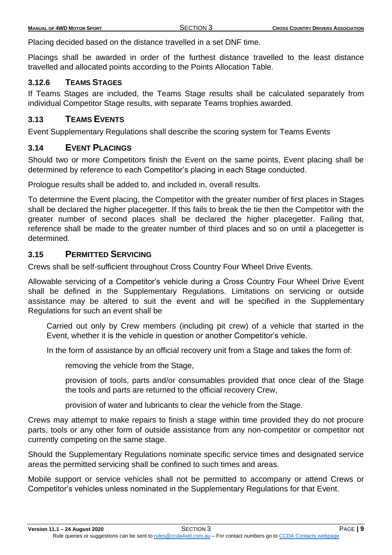Placing decided based on the distance travelled in a set DNF time.

Placings shall be awarded in order of the furthest distance travelled to the least distance travelled and allocated points according to the Points Allocation Table.

## <span id="page-9-0"></span>**3.12.6 TEAMS STAGES**

If Teams Stages are included, the Teams Stage results shall be calculated separately from individual Competitor Stage results, with separate Teams trophies awarded.

## <span id="page-9-1"></span>**3.13 TEAMS EVENTS**

Event Supplementary Regulations shall describe the scoring system for Teams Events

## <span id="page-9-2"></span>**3.14 EVENT PLACINGS**

Should two or more Competitors finish the Event on the same points, Event placing shall be determined by reference to each Competitor's placing in each Stage conducted.

Prologue results shall be added to, and included in, overall results.

To determine the Event placing, the Competitor with the greater number of first places in Stages shall be declared the higher placegetter. If this fails to break the tie then the Competitor with the greater number of second places shall be declared the higher placegetter. Failing that, reference shall be made to the greater number of third places and so on until a placegetter is determined.

## <span id="page-9-3"></span>**3.15 PERMITTED SERVICING**

Crews shall be self-sufficient throughout Cross Country Four Wheel Drive Events.

Allowable servicing of a Competitor's vehicle during a Cross Country Four Wheel Drive Event shall be defined in the Supplementary Regulations. Limitations on servicing or outside assistance may be altered to suit the event and will be specified in the Supplementary Regulations for such an event shall be

Carried out only by Crew members (including pit crew) of a vehicle that started in the Event, whether it is the vehicle in question or another Competitor's vehicle.

In the form of assistance by an official recovery unit from a Stage and takes the form of:

removing the vehicle from the Stage,

provision of tools, parts and/or consumables provided that once clear of the Stage the tools and parts are returned to the official recovery Crew,

provision of water and lubricants to clear the vehicle from the Stage.

Crews may attempt to make repairs to finish a stage within time provided they do not procure parts, tools or any other form of outside assistance from any non-competitor or competitor not currently competing on the same stage.

Should the Supplementary Regulations nominate specific service times and designated service areas the permitted servicing shall be confined to such times and areas.

Mobile support or service vehicles shall not be permitted to accompany or attend Crews or Competitor's vehicles unless nominated in the Supplementary Regulations for that Event.

**Version 11.1 – 24 August 2020** SECTION 3 PAGE **| 9**

Rule queries or suggestions can be sent to [rules@ccda4wd.com.au](mailto:rules@ccda4wd.com.au) - For contact numbers go t[o CCDA Contacts webpage](https://ccda15.wildapricot.org/page-1362463)